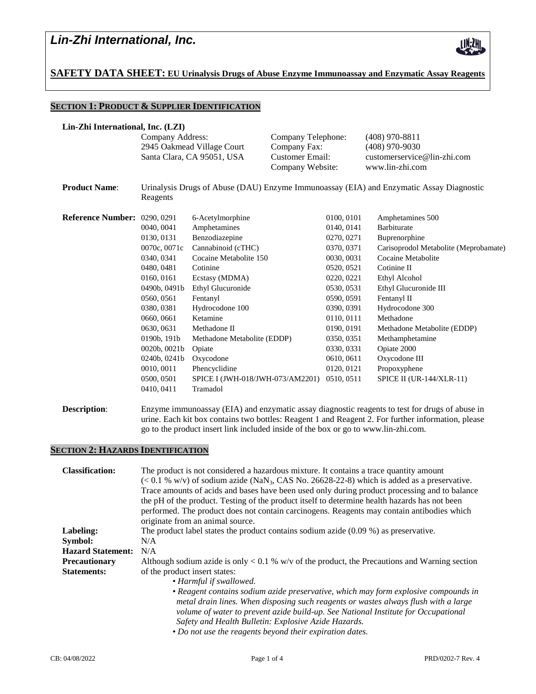

# **SAFETY DATA SHEET: EU Urinalysis Drugs of Abuse Enzyme Immunoassay and Enzymatic Assay Reagents**

## **SECTION 1: PRODUCT & SUPPLIER IDENTIFICATION**

### **Lin-Zhi International, Inc. (LZI)**

|                                     | Company Address:                                                                                    | 2945 Oakmead Village Court<br>Santa Clara, CA 95051, USA | Company Telephone:<br>Company Fax:<br><b>Customer Email:</b><br>Company Website: |            | $(408)$ 970-8811<br>$(408)$ 970-9030<br>customerservice@lin-zhi.com<br>www.lin-zhi.com |
|-------------------------------------|-----------------------------------------------------------------------------------------------------|----------------------------------------------------------|----------------------------------------------------------------------------------|------------|----------------------------------------------------------------------------------------|
| <b>Product Name:</b>                | Urinalysis Drugs of Abuse (DAU) Enzyme Immunoassay (EIA) and Enzymatic Assay Diagnostic<br>Reagents |                                                          |                                                                                  |            |                                                                                        |
| <b>Reference Number:</b> 0290, 0291 |                                                                                                     | 6-Acetylmorphine                                         |                                                                                  | 0100, 0101 | Amphetamines 500                                                                       |
|                                     | 0040, 0041                                                                                          | Amphetamines                                             |                                                                                  | 0140, 0141 | Barbiturate                                                                            |
|                                     | 0130, 0131                                                                                          | Benzodiazepine                                           |                                                                                  | 0270, 0271 | Buprenorphine                                                                          |
|                                     | 0070c, 0071c                                                                                        | Cannabinoid (cTHC)                                       |                                                                                  | 0370, 0371 | Carisoprodol Metabolite (Meprobamate)                                                  |
|                                     | 0340, 0341                                                                                          | Cocaine Metabolite 150                                   |                                                                                  | 0030, 0031 | Cocaine Metabolite                                                                     |
|                                     | 0480, 0481                                                                                          | Cotinine                                                 |                                                                                  | 0520, 0521 | Cotinine II                                                                            |
|                                     | 0160, 0161                                                                                          | Ecstasy (MDMA)                                           |                                                                                  | 0220, 0221 | <b>Ethyl Alcohol</b>                                                                   |
|                                     | 0490b, 0491b                                                                                        | Ethyl Glucuronide                                        |                                                                                  | 0530, 0531 | Ethyl Glucuronide III                                                                  |
|                                     | 0560, 0561                                                                                          | Fentanyl                                                 |                                                                                  | 0590, 0591 | Fentanyl II                                                                            |
|                                     | 0380, 0381                                                                                          | Hydrocodone 100                                          |                                                                                  | 0390, 0391 | Hydrocodone 300                                                                        |
|                                     | 0660, 0661                                                                                          | Ketamine                                                 |                                                                                  | 0110, 0111 | Methadone                                                                              |
|                                     | 0630, 0631                                                                                          | Methadone II                                             |                                                                                  | 0190, 0191 | Methadone Metabolite (EDDP)                                                            |
|                                     | 0190b, 191b                                                                                         | Methadone Metabolite (EDDP)                              |                                                                                  | 0350, 0351 | Methamphetamine                                                                        |
|                                     | 0020b, 0021b                                                                                        | Opiate                                                   |                                                                                  | 0330, 0331 | Opiate 2000                                                                            |
|                                     | 0240b, 0241b                                                                                        | Oxycodone                                                |                                                                                  | 0610, 0611 | Oxycodone III                                                                          |
|                                     | 0010, 0011                                                                                          | Phencyclidine                                            |                                                                                  | 0120, 0121 | Propoxyphene                                                                           |
|                                     | 0500, 0501                                                                                          | SPICE I (JWH-018/JWH-073/AM2201)                         |                                                                                  | 0510, 0511 | SPICE II (UR-144/XLR-11)                                                               |
|                                     | 0410, 0411                                                                                          | Tramadol                                                 |                                                                                  |            |                                                                                        |

## **Description:** Enzyme immunoassay (EIA) and enzymatic assay diagnostic reagents to test for drugs of abuse in urine. Each kit box contains two bottles: Reagent 1 and Reagent 2. For further information, please go to the product insert link included inside of the box or go to www.lin-zhi.com.

# **SECTION 2: HAZARDS IDENTIFICATION**

| <b>Classification:</b>   | The product is not considered a hazardous mixture. It contains a trace quantity amount<br>$(< 0.1 %$ w/v) of sodium azide (NaN <sub>3</sub> , CAS No. 26628-22-8) which is added as a preservative.<br>Trace amounts of acids and bases have been used only during product processing and to balance<br>the pH of the product. Testing of the product itself to determine health hazards has not been<br>performed. The product does not contain carcinogens. Reagents may contain antibodies which<br>originate from an animal source. |  |  |
|--------------------------|-----------------------------------------------------------------------------------------------------------------------------------------------------------------------------------------------------------------------------------------------------------------------------------------------------------------------------------------------------------------------------------------------------------------------------------------------------------------------------------------------------------------------------------------|--|--|
| Labeling:                | The product label states the product contains sodium azide $(0.09\%)$ as preservative.                                                                                                                                                                                                                                                                                                                                                                                                                                                  |  |  |
| Symbol:                  | N/A                                                                                                                                                                                                                                                                                                                                                                                                                                                                                                                                     |  |  |
| <b>Hazard Statement:</b> | N/A                                                                                                                                                                                                                                                                                                                                                                                                                                                                                                                                     |  |  |
| <b>Precautionary</b>     | Although sodium azide is only $< 0.1$ % w/v of the product, the Precautions and Warning section                                                                                                                                                                                                                                                                                                                                                                                                                                         |  |  |
| <b>Statements:</b>       | of the product insert states:                                                                                                                                                                                                                                                                                                                                                                                                                                                                                                           |  |  |
|                          | • Harmful if swallowed.                                                                                                                                                                                                                                                                                                                                                                                                                                                                                                                 |  |  |
|                          | • Reagent contains sodium azide preservative, which may form explosive compounds in<br>metal drain lines. When disposing such reagents or wastes always flush with a large<br>volume of water to prevent azide build-up. See National Institute for Occupational<br>Safety and Health Bulletin: Explosive Azide Hazards.<br>• Do not use the reagents beyond their expiration dates.                                                                                                                                                    |  |  |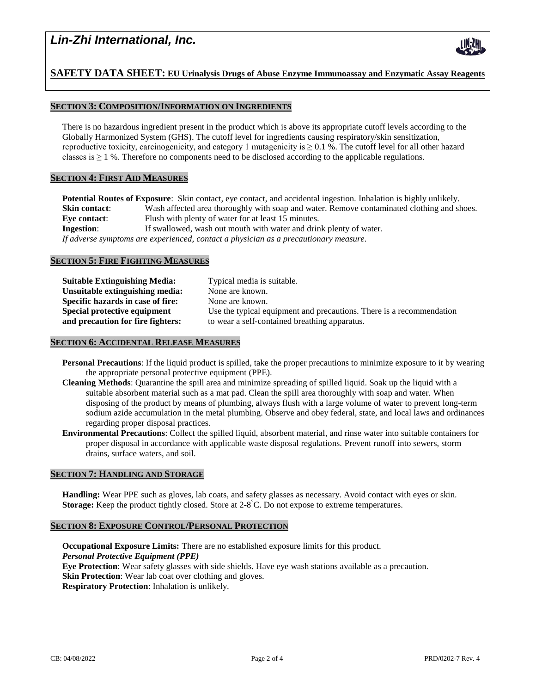

# **SAFETY DATA SHEET: EU Urinalysis Drugs of Abuse Enzyme Immunoassay and Enzymatic Assay Reagents**

## **SECTION 3: COMPOSITION/INFORMATION ON INGREDIENTS**

There is no hazardous ingredient present in the product which is above its appropriate cutoff levels according to the Globally Harmonized System (GHS). The cutoff level for ingredients causing respiratory/skin sensitization, reproductive toxicity, carcinogenicity, and category 1 mutagenicity is  $\geq 0.1$  %. The cutoff level for all other hazard classes is  $\geq 1$  %. Therefore no components need to be disclosed according to the applicable regulations.

### **SECTION 4: FIRST AID MEASURES**

**Potential Routes of Exposure**: Skin contact, eye contact, and accidental ingestion. Inhalation is highly unlikely. **Skin contact:** Wash affected area thoroughly with soap and water. Remove contaminated clothing and shoes. **Eye contact:** Flush with plenty of water for at least 15 minutes. **Ingestion:** If swallowed, wash out mouth with water and drink plenty of water. *If adverse symptoms are experienced, contact a physician as a precautionary measure.* 

### **SECTION 5: FIRE FIGHTING MEASURES**

| Suitable Extinguishing Media:     | Typical media is suitable.                                           |
|-----------------------------------|----------------------------------------------------------------------|
| Unsuitable extinguishing media:   | None are known.                                                      |
| Specific hazards in case of fire: | None are known.                                                      |
| Special protective equipment      | Use the typical equipment and precautions. There is a recommendation |
| and precaution for fire fighters: | to wear a self-contained breathing apparatus.                        |
|                                   |                                                                      |

## **SECTION 6: ACCIDENTAL RELEASE MEASURES**

- **Personal Precautions**: If the liquid product is spilled, take the proper precautions to minimize exposure to it by wearing the appropriate personal protective equipment (PPE).
- **Cleaning Methods**: Quarantine the spill area and minimize spreading of spilled liquid. Soak up the liquid with a suitable absorbent material such as a mat pad. Clean the spill area thoroughly with soap and water. When disposing of the product by means of plumbing, always flush with a large volume of water to prevent long-term sodium azide accumulation in the metal plumbing. Observe and obey federal, state, and local laws and ordinances regarding proper disposal practices.
- **Environmental Precautions**: Collect the spilled liquid, absorbent material, and rinse water into suitable containers for proper disposal in accordance with applicable waste disposal regulations. Prevent runoff into sewers, storm drains, surface waters, and soil.

### **SECTION 7: HANDLING AND STORAGE**

**Handling:** Wear PPE such as gloves, lab coats, and safety glasses as necessary. Avoid contact with eyes or skin. Storage: Keep the product tightly closed. Store at 2-8<sup>°</sup>C. Do not expose to extreme temperatures.

### **SECTION 8: EXPOSURE CONTROL/PERSONAL PROTECTION**

**Occupational Exposure Limits:** There are no established exposure limits for this product. *Personal Protective Equipment (PPE)* **Eye Protection**: Wear safety glasses with side shields. Have eye wash stations available as a precaution. **Skin Protection**: Wear lab coat over clothing and gloves.

**Respiratory Protection**: Inhalation is unlikely.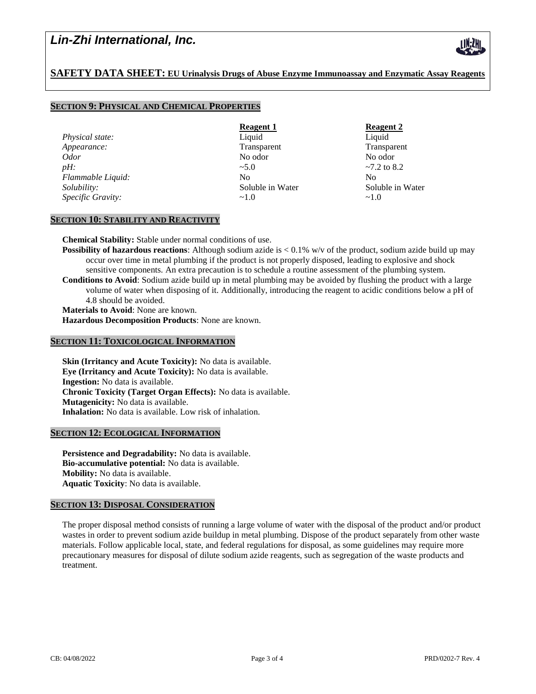

# **SAFETY DATA SHEET: EU Urinalysis Drugs of Abuse Enzyme Immunoassay and Enzymatic Assay Reagents**

## **SECTION 9: PHYSICAL AND CHEMICAL PROPERTIES**

**Physical state:** Liquid Liquid Liquid Liquid Liquid Liquid Liquid Liquid Liquid Liquid Liquid Liquid Liquid Liquid Liquid Liquid Liquid Liquid Liquid Liquid Liquid Liquid Liquid Liquid Liquid Liquid Liquid Liquid Liquid L *Appearance:* Transparent Transparent Transparent Transparent Transparent Transparent *Odor* No odor No odor *pH:*  $\sim$  5.0  $\sim$  7.2 to 8.2 *Flammable Liquid:* No No No No No *Solubility:* Soluble in Water Soluble in Water *Specific Gravity:*  $\sim$ 1.0  $\sim$ 1.0

**Reagent 1 Reagent 2** 

## **SECTION 10: STABILITY AND REACTIVITY**

**Chemical Stability:** Stable under normal conditions of use.

**Possibility of hazardous reactions**: Although sodium azide is  $< 0.1\%$  w/v of the product, sodium azide build up may occur over time in metal plumbing if the product is not properly disposed, leading to explosive and shock sensitive components. An extra precaution is to schedule a routine assessment of the plumbing system. **Conditions to Avoid**: Sodium azide build up in metal plumbing may be avoided by flushing the product with a large volume of water when disposing of it. Additionally, introducing the reagent to acidic conditions below a pH of 4.8 should be avoided.

**Materials to Avoid**: None are known. **Hazardous Decomposition Products**: None are known.

### **SECTION 11: TOXICOLOGICAL INFORMATION**

**Skin (Irritancy and Acute Toxicity):** No data is available. **Eye (Irritancy and Acute Toxicity):** No data is available. **Ingestion:** No data is available. **Chronic Toxicity (Target Organ Effects):** No data is available. **Mutagenicity:** No data is available. **Inhalation:** No data is available. Low risk of inhalation.

## **SECTION 12: ECOLOGICAL INFORMATION**

**Persistence and Degradability:** No data is available. **Bio-accumulative potential:** No data is available. **Mobility:** No data is available. **Aquatic Toxicity**: No data is available.

### **SECTION 13: DISPOSAL CONSIDERATION**

The proper disposal method consists of running a large volume of water with the disposal of the product and/or product wastes in order to prevent sodium azide buildup in metal plumbing. Dispose of the product separately from other waste materials. Follow applicable local, state, and federal regulations for disposal, as some guidelines may require more precautionary measures for disposal of dilute sodium azide reagents, such as segregation of the waste products and treatment.